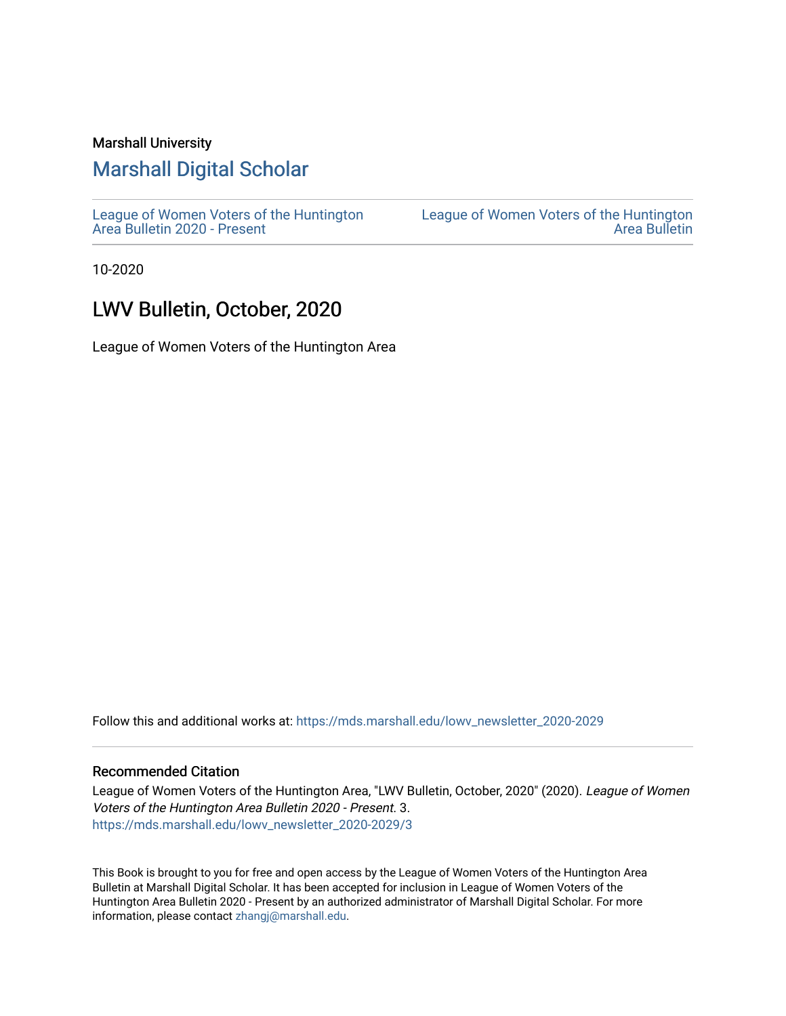#### Marshall University

# [Marshall Digital Scholar](https://mds.marshall.edu/)

[League of Women Voters of the Huntington](https://mds.marshall.edu/lowv_newsletter_2020-2029) [Area Bulletin 2020 - Present](https://mds.marshall.edu/lowv_newsletter_2020-2029)

[League of Women Voters of the Huntington](https://mds.marshall.edu/lowv_newsletter)  [Area Bulletin](https://mds.marshall.edu/lowv_newsletter) 

10-2020

## LWV Bulletin, October, 2020

League of Women Voters of the Huntington Area

Follow this and additional works at: [https://mds.marshall.edu/lowv\\_newsletter\\_2020-2029](https://mds.marshall.edu/lowv_newsletter_2020-2029?utm_source=mds.marshall.edu%2Flowv_newsletter_2020-2029%2F3&utm_medium=PDF&utm_campaign=PDFCoverPages) 

#### Recommended Citation

League of Women Voters of the Huntington Area, "LWV Bulletin, October, 2020" (2020). League of Women Voters of the Huntington Area Bulletin 2020 - Present. 3. [https://mds.marshall.edu/lowv\\_newsletter\\_2020-2029/3](https://mds.marshall.edu/lowv_newsletter_2020-2029/3?utm_source=mds.marshall.edu%2Flowv_newsletter_2020-2029%2F3&utm_medium=PDF&utm_campaign=PDFCoverPages) 

This Book is brought to you for free and open access by the League of Women Voters of the Huntington Area Bulletin at Marshall Digital Scholar. It has been accepted for inclusion in League of Women Voters of the Huntington Area Bulletin 2020 - Present by an authorized administrator of Marshall Digital Scholar. For more information, please contact [zhangj@marshall.edu.](mailto:zhangj@marshall.edu)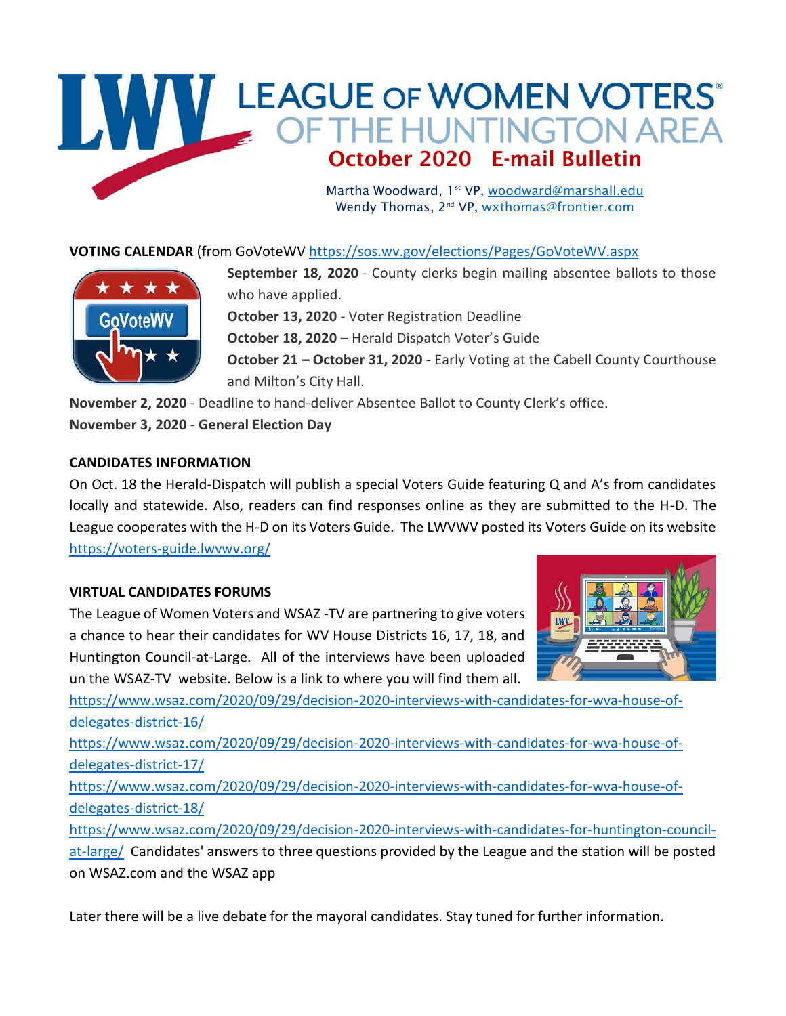# WWW LEAGUE OF WOMEN VOTERS October 2020 E-mail Bulletin

Martha Woodward, 1st VP, [woodward@marshall.edu](mailto:woodward@marshall.edu) Wendy Thomas, 2<sup>nd</sup> VP, [wxthomas@frontier.com](mailto:wxthomas@frontier.com)

## **VOTING CALENDAR** (from GoVoteW[V https://sos.wv.gov/elections/Pages/GoVoteWV.aspx](https://sos.wv.gov/elections/Pages/GoVoteWV.aspx)



**September 18, 2020** - County clerks begin mailing absentee ballots to those who have applied. **October 13, 2020** - Voter Registration Deadline **October 18, 2020** – Herald Dispatch Voter's Guide **October 21 - October 31, 2020** - Early Voting at the Cabell County Courthouse and Milton's City Hall. **November 2, 2020** - Deadline to hand-deliver Absentee Ballot to County Clerk's office.

**November 3, 2020** - **General Election Day**

## **CANDIDATES INFORMATION**

On Oct. 18 the Herald-Dispatch will publish a special Voters Guide featuring Q and A's from candidates locally and statewide. Also, readers can find responses online as they are submitted to the H-D. The League cooperates with the H-D on its Voters Guide. The LWVWV posted its Voters Guide on its website <https://voters-guide.lwvwv.org/>

## **VIRTUAL CANDIDATES FORUMS**

The League of Women Voters and WSAZ -TV are partnering to give voters a chance to hear their candidates for WV House Districts 16, 17, 18, and Huntington Council-at-Large. All of the interviews have been uploaded un the WSAZ-TV website. Below is a link to where you will find them all.



[https://www.wsaz.com/2020/09/29/decision-2020-interviews-with-candidates-for-wva-house-of](https://www.wsaz.com/2020/09/29/decision-2020-interviews-with-candidates-for-wva-house-of-delegates-district-16/)[delegates-district-16/](https://www.wsaz.com/2020/09/29/decision-2020-interviews-with-candidates-for-wva-house-of-delegates-district-16/)

[https://www.wsaz.com/2020/09/29/decision-2020-interviews-with-candidates-for-wva-house-of](https://www.wsaz.com/2020/09/29/decision-2020-interviews-with-candidates-for-wva-house-of-delegates-district-17/)[delegates-district-17/](https://www.wsaz.com/2020/09/29/decision-2020-interviews-with-candidates-for-wva-house-of-delegates-district-17/)

[https://www.wsaz.com/2020/09/29/decision-2020-interviews-with-candidates-for-wva-house-of](https://www.wsaz.com/2020/09/29/decision-2020-interviews-with-candidates-for-wva-house-of-delegates-district-18/)[delegates-district-18/](https://www.wsaz.com/2020/09/29/decision-2020-interviews-with-candidates-for-wva-house-of-delegates-district-18/)

[https://www.wsaz.com/2020/09/29/decision-2020-interviews-with-candidates-for-huntington-council](https://www.wsaz.com/2020/09/29/decision-2020-interviews-with-candidates-for-huntington-council-at-large/)[at-large/](https://www.wsaz.com/2020/09/29/decision-2020-interviews-with-candidates-for-huntington-council-at-large/) Candidates' answers to three questions provided by the League and the station will be posted on WSAZ.com and the WSAZ app

Later there will be a live debate for the mayoral candidates. Stay tuned for further information.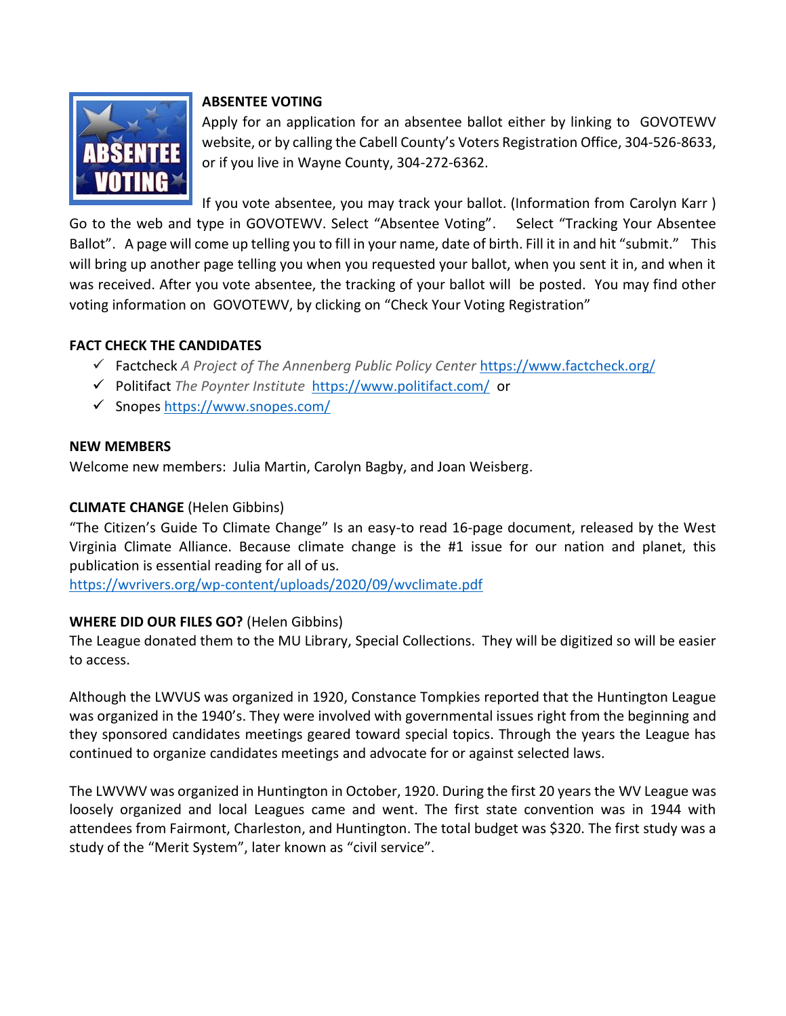

## **ABSENTEE VOTING**

Apply for an application for an absentee ballot either by linking to GOVOTEWV website, or by calling the Cabell County's Voters Registration Office, 304-526-8633, or if you live in Wayne County, 304-272-6362.

If you vote absentee, you may track your ballot. (Information from Carolyn Karr ) Go to the web and type in GOVOTEWV. Select "Absentee Voting". Select "Tracking Your Absentee Ballot". A page will come up telling you to fill in your name, date of birth. Fill it in and hit "submit." This will bring up another page telling you when you requested your ballot, when you sent it in, and when it was received. After you vote absentee, the tracking of your ballot will be posted. You may find other voting information on GOVOTEWV, by clicking on "Check Your Voting Registration"

## **FACT CHECK THE CANDIDATES**

- ✓ Factcheck *A Project of The Annenberg Public Policy Center* <https://www.factcheck.org/>
- ✓ Politifact *The Poynter Institute* <https://www.politifact.com/> or
- ✓ Snopes <https://www.snopes.com/>

#### **NEW MEMBERS**

Welcome new members: Julia Martin, Carolyn Bagby, and Joan Weisberg.

## **CLIMATE CHANGE** (Helen Gibbins)

"The Citizen's Guide To Climate Change" Is an easy-to read 16-page document, released by the West Virginia Climate Alliance. Because climate change is the #1 issue for our nation and planet, this publication is essential reading for all of us.

<https://wvrivers.org/wp-content/uploads/2020/09/wvclimate.pdf>

## **WHERE DID OUR FILES GO?** (Helen Gibbins)

The League donated them to the MU Library, Special Collections. They will be digitized so will be easier to access.

Although the LWVUS was organized in 1920, Constance Tompkies reported that the Huntington League was organized in the 1940's. They were involved with governmental issues right from the beginning and they sponsored candidates meetings geared toward special topics. Through the years the League has continued to organize candidates meetings and advocate for or against selected laws.

The LWVWV was organized in Huntington in October, 1920. During the first 20 years the WV League was loosely organized and local Leagues came and went. The first state convention was in 1944 with attendees from Fairmont, Charleston, and Huntington. The total budget was \$320. The first study was a study of the "Merit System", later known as "civil service".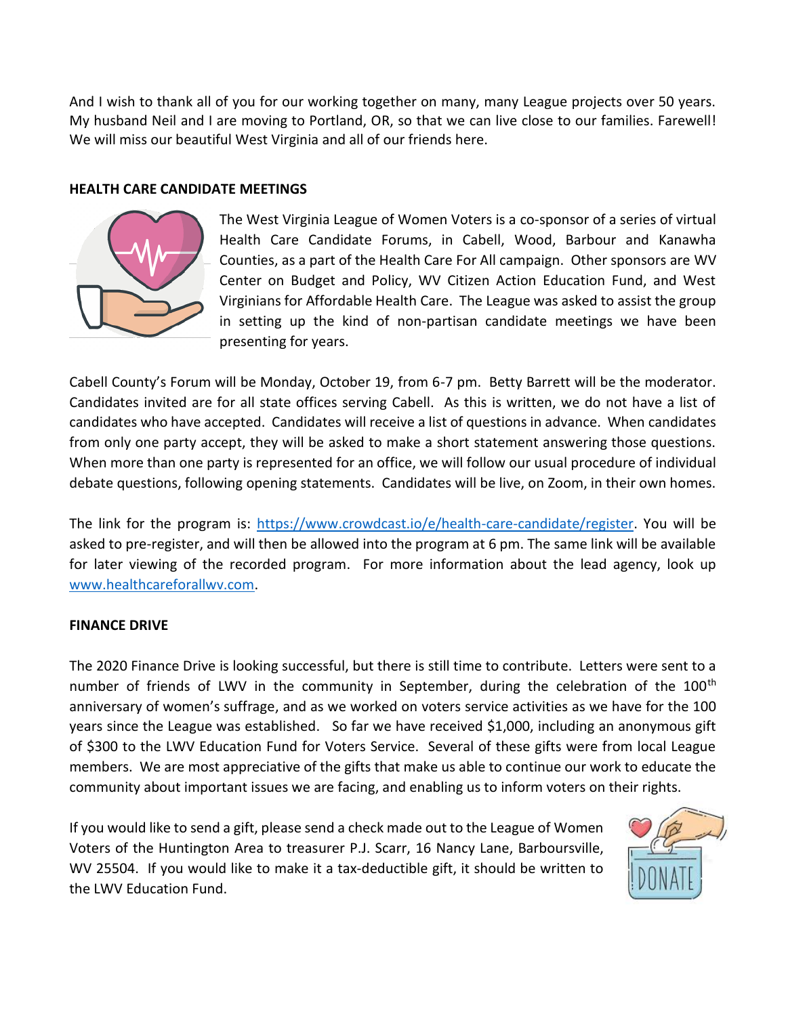And I wish to thank all of you for our working together on many, many League projects over 50 years. My husband Neil and I are moving to Portland, OR, so that we can live close to our families. Farewell! We will miss our beautiful West Virginia and all of our friends here.

#### **HEALTH CARE CANDIDATE MEETINGS**



The West Virginia League of Women Voters is a co-sponsor of a series of virtual Health Care Candidate Forums, in Cabell, Wood, Barbour and Kanawha Counties, as a part of the Health Care For All campaign. Other sponsors are WV Center on Budget and Policy, WV Citizen Action Education Fund, and West Virginians for Affordable Health Care. The League was asked to assist the group in setting up the kind of non-partisan candidate meetings we have been presenting for years.

Cabell County's Forum will be Monday, October 19, from 6-7 pm. Betty Barrett will be the moderator. Candidates invited are for all state offices serving Cabell. As this is written, we do not have a list of candidates who have accepted. Candidates will receive a list of questions in advance. When candidates from only one party accept, they will be asked to make a short statement answering those questions. When more than one party is represented for an office, we will follow our usual procedure of individual debate questions, following opening statements. Candidates will be live, on Zoom, in their own homes.

The link for the program is: [https://www.crowdcast.io/e/health-care-candidate/register.](https://www.crowdcast.io/e/health-care-candidate/register) You will be asked to pre-register, and will then be allowed into the program at 6 pm. The same link will be available for later viewing of the recorded program. For more information about the lead agency, look up [www.healthcareforallwv.com.](http://www.healthcareforallwv.com/)

#### **FINANCE DRIVE**

The 2020 Finance Drive is looking successful, but there is still time to contribute. Letters were sent to a number of friends of LWV in the community in September, during the celebration of the 100<sup>th</sup> anniversary of women's suffrage, and as we worked on voters service activities as we have for the 100 years since the League was established. So far we have received \$1,000, including an anonymous gift of \$300 to the LWV Education Fund for Voters Service. Several of these gifts were from local League members. We are most appreciative of the gifts that make us able to continue our work to educate the community about important issues we are facing, and enabling us to inform voters on their rights.

If you would like to send a gift, please send a check made out to the League of Women Voters of the Huntington Area to treasurer P.J. Scarr, 16 Nancy Lane, Barboursville, WV 25504. If you would like to make it a tax-deductible gift, it should be written to the LWV Education Fund.